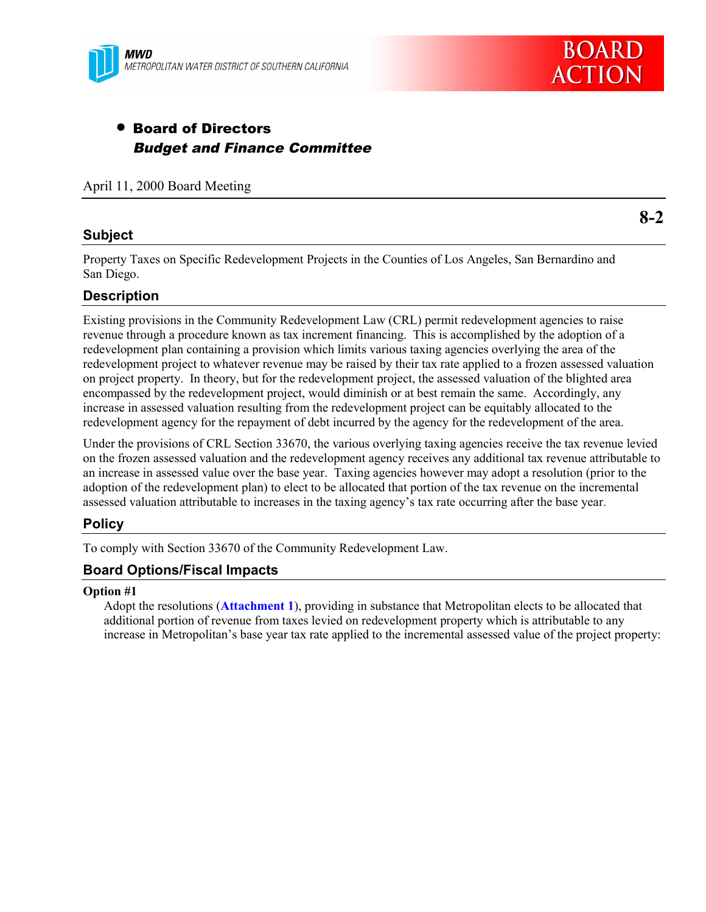

# • Board of Directors Budget and Finance Committee

April 11, 2000 Board Meeting

# **Subject**

**8-2**

Property Taxes on Specific Redevelopment Projects in the Counties of Los Angeles, San Bernardino and San Diego.

# **Description**

Existing provisions in the Community Redevelopment Law (CRL) permit redevelopment agencies to raise revenue through a procedure known as tax increment financing. This is accomplished by the adoption of a redevelopment plan containing a provision which limits various taxing agencies overlying the area of the redevelopment project to whatever revenue may be raised by their tax rate applied to a frozen assessed valuation on project property. In theory, but for the redevelopment project, the assessed valuation of the blighted area encompassed by the redevelopment project, would diminish or at best remain the same. Accordingly, any increase in assessed valuation resulting from the redevelopment project can be equitably allocated to the redevelopment agency for the repayment of debt incurred by the agency for the redevelopment of the area.

Under the provisions of CRL Section 33670, the various overlying taxing agencies receive the tax revenue levied on the frozen assessed valuation and the redevelopment agency receives any additional tax revenue attributable to an increase in assessed value over the base year. Taxing agencies however may adopt a resolution (prior to the adoption of the redevelopment plan) to elect to be allocated that portion of the tax revenue on the incremental assessed valuation attributable to increases in the taxing agency's tax rate occurring after the base year.

# **Policy**

To comply with Section 33670 of the Community Redevelopment Law.

# **Board Options/Fiscal Impacts**

#### **Option #1**

Adopt the resolutions (**Attachment 1**), providing in substance that Metropolitan elects to be allocated that additional portion of revenue from taxes levied on redevelopment property which is attributable to any increase in Metropolitan's base year tax rate applied to the incremental assessed value of the project property: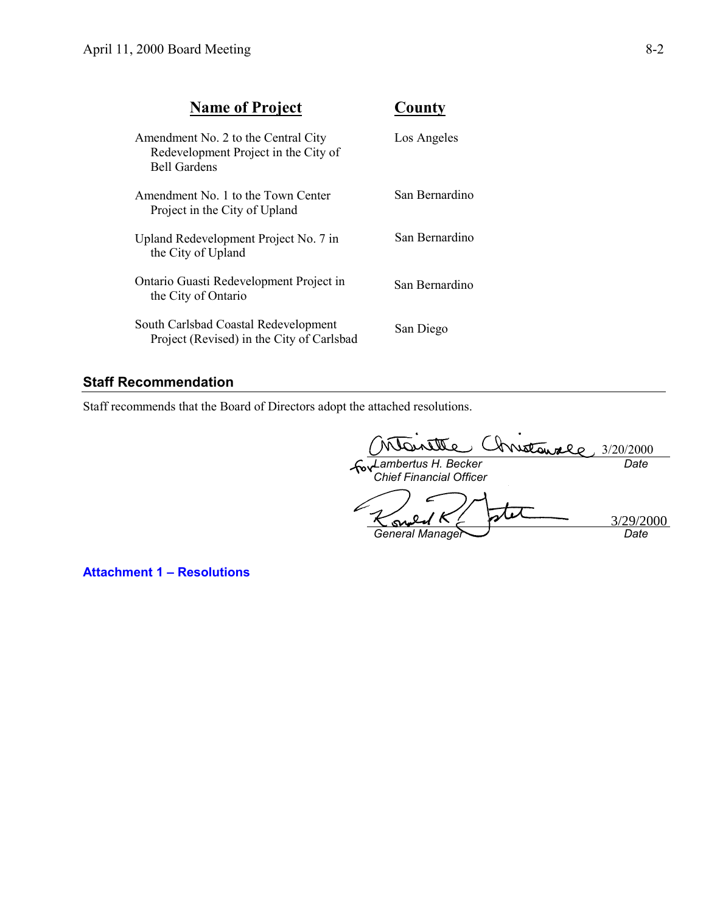| <b>Name of Project</b>                                                                             | County         |
|----------------------------------------------------------------------------------------------------|----------------|
| Amendment No. 2 to the Central City<br>Redevelopment Project in the City of<br><b>Bell Gardens</b> | Los Angeles    |
| Amendment No. 1 to the Town Center<br>Project in the City of Upland                                | San Bernardino |
| Upland Redevelopment Project No. 7 in<br>the City of Upland                                        | San Bernardino |
| Ontario Guasti Redevelopment Project in<br>the City of Ontario                                     | San Bernardino |
| South Carlsbad Coastal Redevelopment<br>Project (Revised) in the City of Carlsbad                  | San Diego      |

# **Staff Recommendation**

Staff recommends that the Board of Directors adopt the attached resolutions.

3/20/2000 *Date Lambertus H. Becker Chief Financial Officer* 3/29/2000<u>مى</u> *General Manager Date*

**Attachment 1 – Resolutions**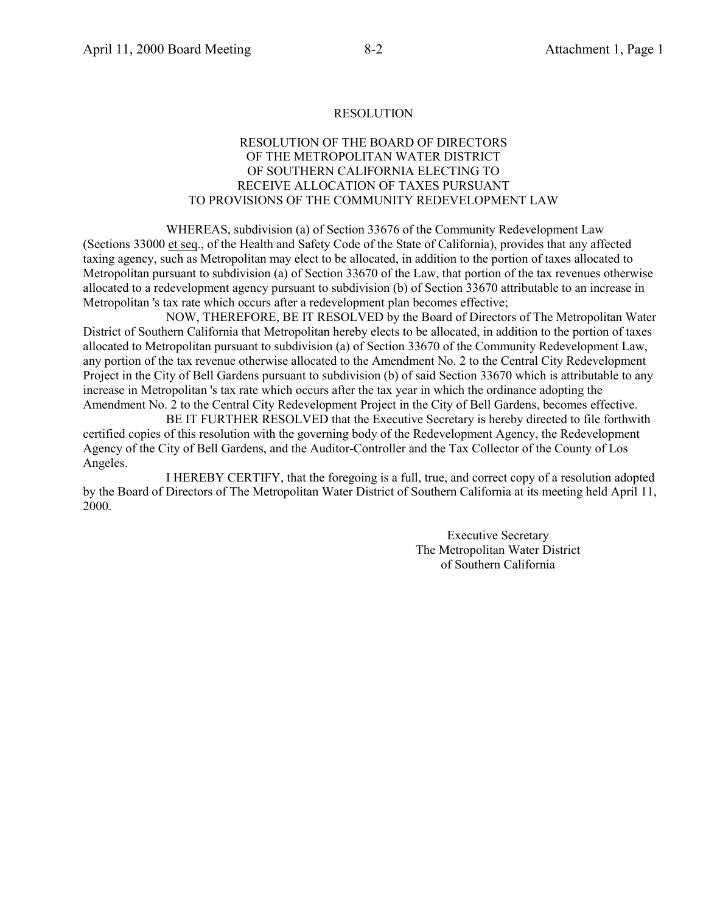## RESOLUTION OF THE BOARD OF DIRECTORS OF THE METROPOLITAN WATER DISTRICT OF SOUTHERN CALIFORNIA ELECTING TO RECEIVE ALLOCATION OF TAXES PURSUANT TO PROVISIONS OF THE COMMUNITY REDEVELOPMENT LAW

WHEREAS, subdivision (a) of Section 33676 of the Community Redevelopment Law (Sections 33000 et seq., of the Health and Safety Code of the State of California), provides that any affected taxing agency, such as Metropolitan may elect to be allocated, in addition to the portion of taxes allocated to Metropolitan pursuant to subdivision (a) of Section 33670 of the Law, that portion of the tax revenues otherwise allocated to a redevelopment agency pursuant to subdivision (b) of Section 33670 attributable to an increase in Metropolitan 's tax rate which occurs after a redevelopment plan becomes effective;

NOW, THEREFORE, BE IT RESOLVED by the Board of Directors of The Metropolitan Water District of Southern California that Metropolitan hereby elects to be allocated, in addition to the portion of taxes allocated to Metropolitan pursuant to subdivision (a) of Section 33670 of the Community Redevelopment Law, any portion of the tax revenue otherwise allocated to the Amendment No. 2 to the Central City Redevelopment Project in the City of Bell Gardens pursuant to subdivision (b) of said Section 33670 which is attributable to any increase in Metropolitan 's tax rate which occurs after the tax year in which the ordinance adopting the Amendment No. 2 to the Central City Redevelopment Project in the City of Bell Gardens, becomes effective.

BE IT FURTHER RESOLVED that the Executive Secretary is hereby directed to file forthwith certified copies of this resolution with the governing body of the Redevelopment Agency, the Redevelopment Agency of the City of Bell Gardens, and the Auditor-Controller and the Tax Collector of the County of Los Angeles.

I HEREBY CERTIFY, that the foregoing is a full, true, and correct copy of a resolution adopted by the Board of Directors of The Metropolitan Water District of Southern California at its meeting held April 11, 2000.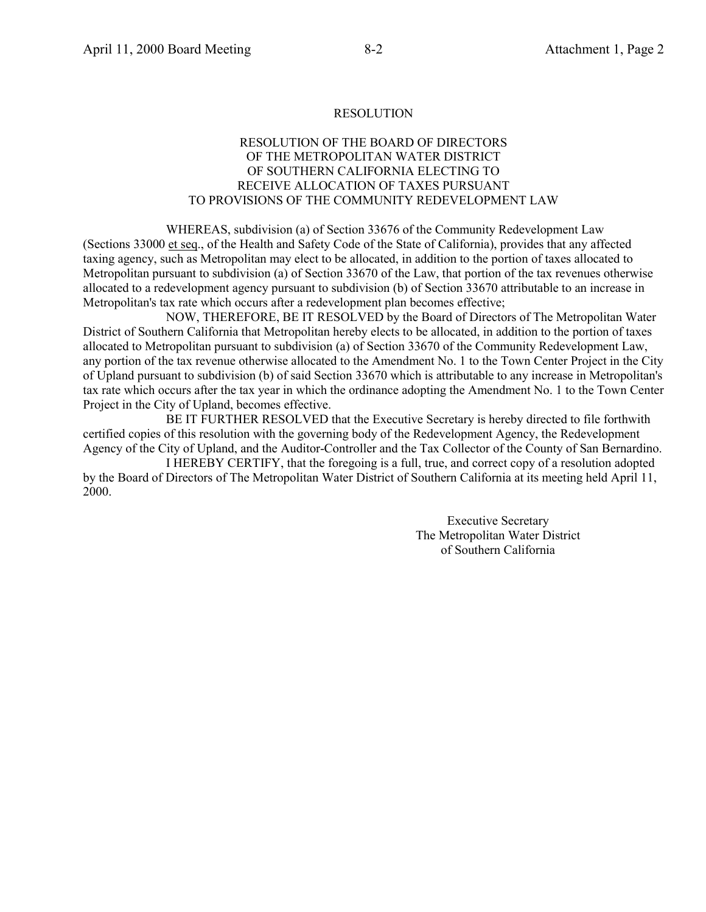## RESOLUTION OF THE BOARD OF DIRECTORS OF THE METROPOLITAN WATER DISTRICT OF SOUTHERN CALIFORNIA ELECTING TO RECEIVE ALLOCATION OF TAXES PURSUANT TO PROVISIONS OF THE COMMUNITY REDEVELOPMENT LAW

WHEREAS, subdivision (a) of Section 33676 of the Community Redevelopment Law (Sections 33000 et seq., of the Health and Safety Code of the State of California), provides that any affected taxing agency, such as Metropolitan may elect to be allocated, in addition to the portion of taxes allocated to Metropolitan pursuant to subdivision (a) of Section 33670 of the Law, that portion of the tax revenues otherwise allocated to a redevelopment agency pursuant to subdivision (b) of Section 33670 attributable to an increase in Metropolitan's tax rate which occurs after a redevelopment plan becomes effective;

NOW, THEREFORE, BE IT RESOLVED by the Board of Directors of The Metropolitan Water District of Southern California that Metropolitan hereby elects to be allocated, in addition to the portion of taxes allocated to Metropolitan pursuant to subdivision (a) of Section 33670 of the Community Redevelopment Law, any portion of the tax revenue otherwise allocated to the Amendment No. 1 to the Town Center Project in the City of Upland pursuant to subdivision (b) of said Section 33670 which is attributable to any increase in Metropolitan's tax rate which occurs after the tax year in which the ordinance adopting the Amendment No. 1 to the Town Center Project in the City of Upland, becomes effective.

BE IT FURTHER RESOLVED that the Executive Secretary is hereby directed to file forthwith certified copies of this resolution with the governing body of the Redevelopment Agency, the Redevelopment Agency of the City of Upland, and the Auditor-Controller and the Tax Collector of the County of San Bernardino.

I HEREBY CERTIFY, that the foregoing is a full, true, and correct copy of a resolution adopted by the Board of Directors of The Metropolitan Water District of Southern California at its meeting held April 11, 2000.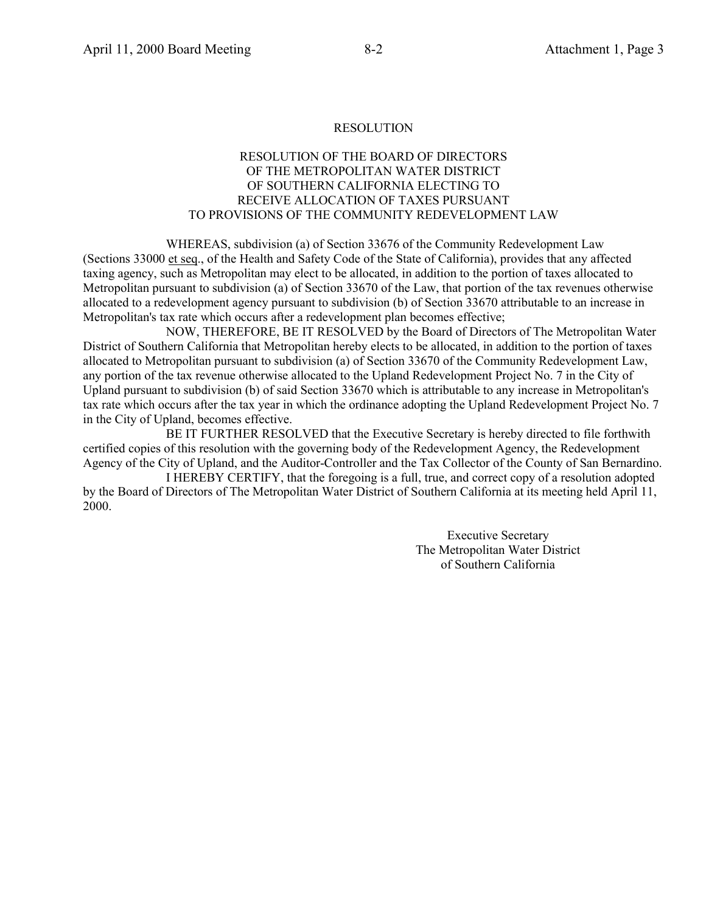## RESOLUTION OF THE BOARD OF DIRECTORS OF THE METROPOLITAN WATER DISTRICT OF SOUTHERN CALIFORNIA ELECTING TO RECEIVE ALLOCATION OF TAXES PURSUANT TO PROVISIONS OF THE COMMUNITY REDEVELOPMENT LAW

WHEREAS, subdivision (a) of Section 33676 of the Community Redevelopment Law (Sections 33000 et seq., of the Health and Safety Code of the State of California), provides that any affected taxing agency, such as Metropolitan may elect to be allocated, in addition to the portion of taxes allocated to Metropolitan pursuant to subdivision (a) of Section 33670 of the Law, that portion of the tax revenues otherwise allocated to a redevelopment agency pursuant to subdivision (b) of Section 33670 attributable to an increase in Metropolitan's tax rate which occurs after a redevelopment plan becomes effective;

NOW, THEREFORE, BE IT RESOLVED by the Board of Directors of The Metropolitan Water District of Southern California that Metropolitan hereby elects to be allocated, in addition to the portion of taxes allocated to Metropolitan pursuant to subdivision (a) of Section 33670 of the Community Redevelopment Law, any portion of the tax revenue otherwise allocated to the Upland Redevelopment Project No. 7 in the City of Upland pursuant to subdivision (b) of said Section 33670 which is attributable to any increase in Metropolitan's tax rate which occurs after the tax year in which the ordinance adopting the Upland Redevelopment Project No. 7 in the City of Upland, becomes effective.

BE IT FURTHER RESOLVED that the Executive Secretary is hereby directed to file forthwith certified copies of this resolution with the governing body of the Redevelopment Agency, the Redevelopment Agency of the City of Upland, and the Auditor-Controller and the Tax Collector of the County of San Bernardino.

I HEREBY CERTIFY, that the foregoing is a full, true, and correct copy of a resolution adopted by the Board of Directors of The Metropolitan Water District of Southern California at its meeting held April 11, 2000.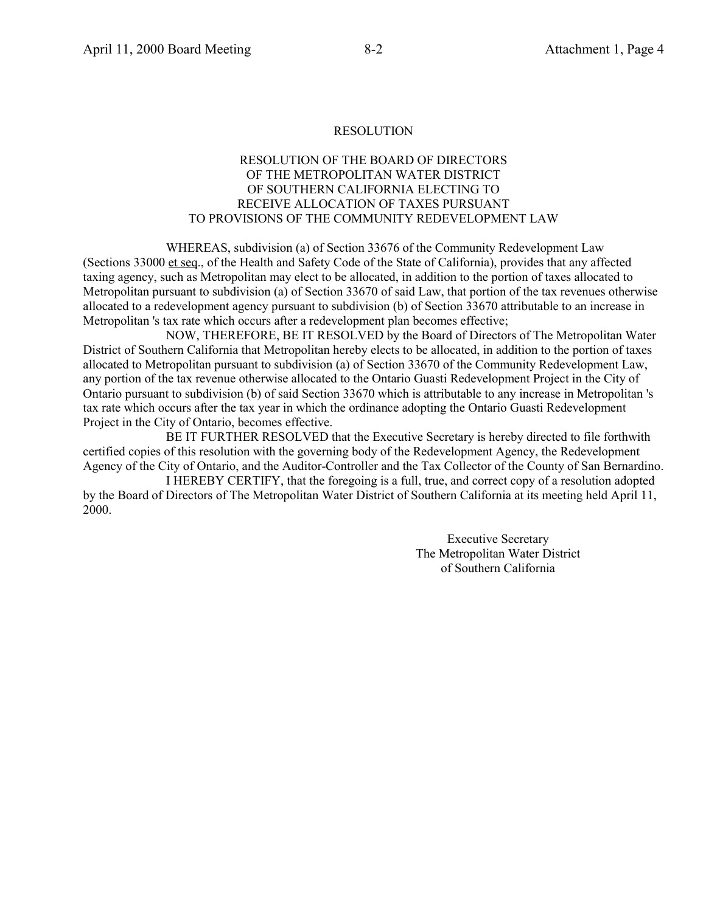## RESOLUTION OF THE BOARD OF DIRECTORS OF THE METROPOLITAN WATER DISTRICT OF SOUTHERN CALIFORNIA ELECTING TO RECEIVE ALLOCATION OF TAXES PURSUANT TO PROVISIONS OF THE COMMUNITY REDEVELOPMENT LAW

WHEREAS, subdivision (a) of Section 33676 of the Community Redevelopment Law (Sections 33000 et seq., of the Health and Safety Code of the State of California), provides that any affected taxing agency, such as Metropolitan may elect to be allocated, in addition to the portion of taxes allocated to Metropolitan pursuant to subdivision (a) of Section 33670 of said Law, that portion of the tax revenues otherwise allocated to a redevelopment agency pursuant to subdivision (b) of Section 33670 attributable to an increase in Metropolitan 's tax rate which occurs after a redevelopment plan becomes effective;

NOW, THEREFORE, BE IT RESOLVED by the Board of Directors of The Metropolitan Water District of Southern California that Metropolitan hereby elects to be allocated, in addition to the portion of taxes allocated to Metropolitan pursuant to subdivision (a) of Section 33670 of the Community Redevelopment Law, any portion of the tax revenue otherwise allocated to the Ontario Guasti Redevelopment Project in the City of Ontario pursuant to subdivision (b) of said Section 33670 which is attributable to any increase in Metropolitan 's tax rate which occurs after the tax year in which the ordinance adopting the Ontario Guasti Redevelopment Project in the City of Ontario, becomes effective.

BE IT FURTHER RESOLVED that the Executive Secretary is hereby directed to file forthwith certified copies of this resolution with the governing body of the Redevelopment Agency, the Redevelopment Agency of the City of Ontario, and the Auditor-Controller and the Tax Collector of the County of San Bernardino.

I HEREBY CERTIFY, that the foregoing is a full, true, and correct copy of a resolution adopted by the Board of Directors of The Metropolitan Water District of Southern California at its meeting held April 11, 2000.